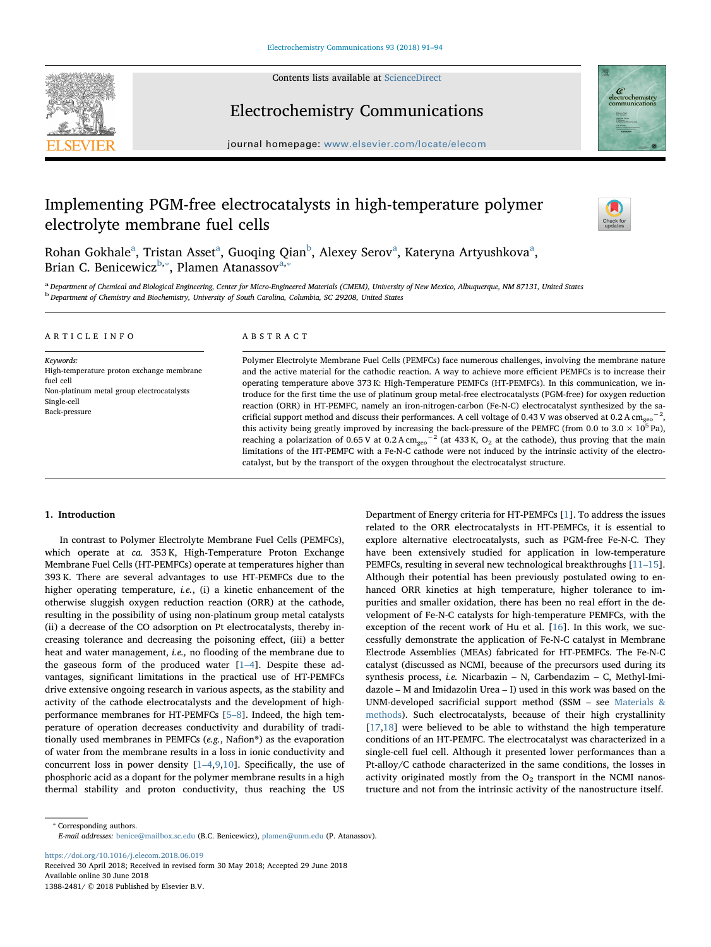

Contents lists available at [ScienceDirect](http://www.sciencedirect.com/science/journal/13882481)

# Electrochemistry Communications

journal homepage: [www.elsevier.com/locate/elecom](https://www.elsevier.com/locate/elecom)

# Implementing PGM-free electrocatalysts in high-temperature polymer electrolyte membrane fuel cells



C<br>electrochemistry<br>communications

Roh[a](#page-0-0)n Gokhale<sup>a</sup>, Tristan Asset<sup>a</sup>, Guoqing Qian<sup>[b](#page-0-1)</sup>, Alexey Serov<sup>a</sup>, Kateryna Artyushkova<sup>a</sup>, Brian C. Benicewicz<sup>[b,](#page-0-1)\*</sup>, Plamen Atanassov<sup>[a,](#page-0-0)\*</sup>

<span id="page-0-1"></span><span id="page-0-0"></span>a Department of Chemical and Biological Engineering, Center for Micro-Engineered Materials (CMEM), University of New Mexico, Albuquerque, NM 87131, United States <sup>b</sup> Department of Chemistry and Biochemistry, University of South Carolina, Columbia, SC 29208, United States

#### ARTICLE INFO

Keywords: High-temperature proton exchange membrane fuel cell Non‑platinum metal group electrocatalysts Single-cell Back-pressure

### ABSTRACT

Polymer Electrolyte Membrane Fuel Cells (PEMFCs) face numerous challenges, involving the membrane nature and the active material for the cathodic reaction. A way to achieve more efficient PEMFCs is to increase their operating temperature above 373 K: High-Temperature PEMFCs (HT-PEMFCs). In this communication, we introduce for the first time the use of platinum group metal-free electrocatalysts (PGM-free) for oxygen reduction reaction (ORR) in HT-PEMFC, namely an iron-nitrogen-carbon (Fe-N-C) electrocatalyst synthesized by the sacrificial support method and discuss their performances. A cell voltage of 0.43 V was observed at 0.2 A cm<sub>geo</sub><sup>-2</sup>, this activity being greatly improved by increasing the back-pressure of the PEMFC (from 0.0 to 3.0  $\times$  10<sup>5</sup> Pa), reaching a polarization of 0.65 V at 0.2 A cm<sub>geo</sub><sup>-2</sup> (at 433 K, O<sub>2</sub> at the cathode), thus proving that the main limitations of the HT-PEMFC with a Fe-N-C cathode were not induced by the intrinsic activity of the electrocatalyst, but by the transport of the oxygen throughout the electrocatalyst structure.

# 1. Introduction

In contrast to Polymer Electrolyte Membrane Fuel Cells (PEMFCs), which operate at ca. 353 K, High-Temperature Proton Exchange Membrane Fuel Cells (HT-PEMFCs) operate at temperatures higher than 393 K. There are several advantages to use HT-PEMFCs due to the higher operating temperature, *i.e.*, (i) a kinetic enhancement of the otherwise sluggish oxygen reduction reaction (ORR) at the cathode, resulting in the possibility of using non‑platinum group metal catalysts (ii) a decrease of the CO adsorption on Pt electrocatalysts, thereby increasing tolerance and decreasing the poisoning effect, (iii) a better heat and water management, *i.e.*, no flooding of the membrane due to the gaseous form of the produced water  $[1-4]$  $[1-4]$  $[1-4]$ . Despite these advantages, significant limitations in the practical use of HT-PEMFCs drive extensive ongoing research in various aspects, as the stability and activity of the cathode electrocatalysts and the development of highperformance membranes for HT-PEMFCs [5–[8\]](#page-3-1). Indeed, the high temperature of operation decreases conductivity and durability of traditionally used membranes in PEMFCs (e.g., Nafion®) as the evaporation of water from the membrane results in a loss in ionic conductivity and concurrent loss in power density [\[1](#page-3-0)–4[,9,](#page-3-2)[10\]](#page-3-3). Specifically, the use of phosphoric acid as a dopant for the polymer membrane results in a high thermal stability and proton conductivity, thus reaching the US

Department of Energy criteria for HT-PEMFCs [[1](#page-3-0)]. To address the issues related to the ORR electrocatalysts in HT-PEMFCs, it is essential to explore alternative electrocatalysts, such as PGM-free Fe-N-C. They have been extensively studied for application in low-temperature PEMFCs, resulting in several new technological breakthroughs [\[11](#page-3-4)–15]. Although their potential has been previously postulated owing to enhanced ORR kinetics at high temperature, higher tolerance to impurities and smaller oxidation, there has been no real effort in the development of Fe-N-C catalysts for high-temperature PEMFCs, with the exception of the recent work of Hu et al. [[16\]](#page-3-5). In this work, we successfully demonstrate the application of Fe-N-C catalyst in Membrane Electrode Assemblies (MEAs) fabricated for HT-PEMFCs. The Fe-N-C catalyst (discussed as NCMI, because of the precursors used during its synthesis process, i.e. Nicarbazin – N, Carbendazim – C, Methyl-Imidazole – M and Imidazolin Urea – I) used in this work was based on the UNM-developed sacrificial support method (SSM – see [Materials &](#page-1-0) [methods\)](#page-1-0). Such electrocatalysts, because of their high crystallinity [[17](#page-3-6)[,18](#page-3-7)] were believed to be able to withstand the high temperature conditions of an HT-PEMFC. The electrocatalyst was characterized in a single-cell fuel cell. Although it presented lower performances than a Pt-alloy/C cathode characterized in the same conditions, the losses in activity originated mostly from the  $O<sub>2</sub>$  transport in the NCMI nanostructure and not from the intrinsic activity of the nanostructure itself.

<https://doi.org/10.1016/j.elecom.2018.06.019> Received 30 April 2018; Received in revised form 30 May 2018; Accepted 29 June 2018 Available online 30 June 2018

1388-2481/ © 2018 Published by Elsevier B.V.

<span id="page-0-2"></span><sup>⁎</sup> Corresponding authors. E-mail addresses: [benice@mailbox.sc.edu](mailto:benice@mailbox.sc.edu) (B.C. Benicewicz), [plamen@unm.edu](mailto:plamen@unm.edu) (P. Atanassov).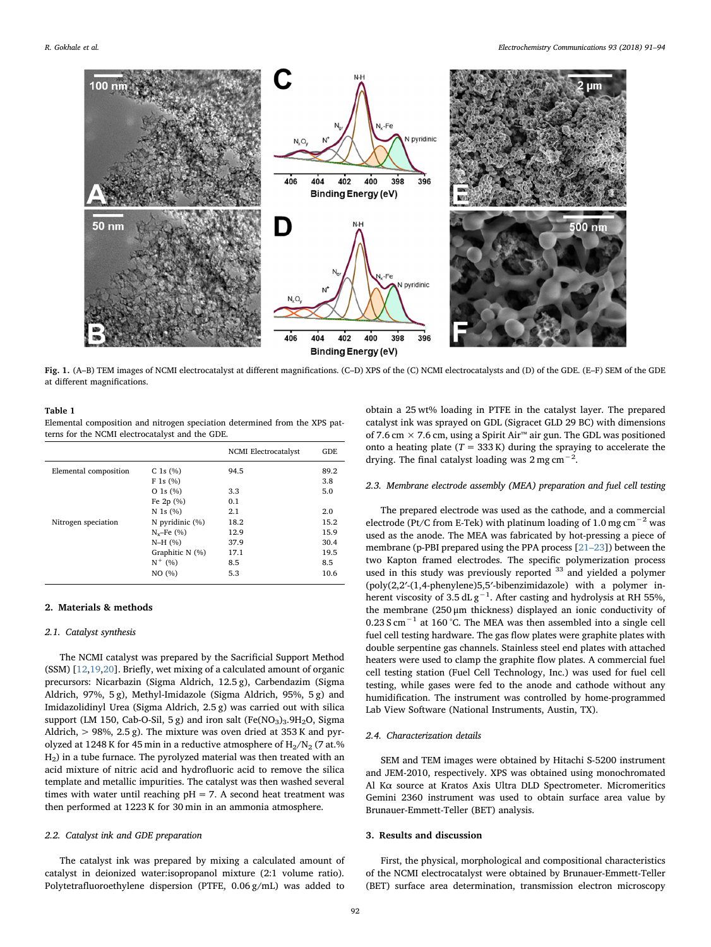<span id="page-1-1"></span>

Fig. 1. (A–B) TEM images of NCMI electrocatalyst at different magnifications. (C–D) XPS of the (C) NCMI electrocatalysts and (D) of the GDE. (E–F) SEM of the GDE at different magnifications.

# <span id="page-1-2"></span>Table 1

Elemental composition and nitrogen speciation determined from the XPS patterns for the NCMI electrocatalyst and the GDE.

|                       |                   | <b>NCMI</b> Electrocatalyst | GDE  |
|-----------------------|-------------------|-----------------------------|------|
| Elemental composition | C 1s $(\% )$      | 94.5                        | 89.2 |
|                       | F 1s (%)          |                             | 3.8  |
|                       | $O$ 1s $(\% )$    | 3.3                         | 5.0  |
|                       | Fe $2p(%)$        | 0.1                         |      |
|                       | $N$ 1s $(%)$      | 2.1                         | 2.0  |
| Nitrogen speciation   | N pyridinic (%)   | 18.2                        | 15.2 |
|                       | $N_{v}$ –Fe $(%)$ | 12.9                        | 15.9 |
|                       | $N-H (%)$         | 37.9                        | 30.4 |
|                       | Graphitic N (%)   | 17.1                        | 19.5 |
|                       | $N^+$ (%)         | 8.5                         | 8.5  |
|                       | NO (%)            | 5.3                         | 10.6 |
|                       |                   |                             |      |

#### <span id="page-1-0"></span>2. Materials & methods

#### 2.1. Catalyst synthesis

The NCMI catalyst was prepared by the Sacrificial Support Method (SSM) [\[12](#page-3-8)[,19](#page-3-9),[20\]](#page-3-10). Briefly, wet mixing of a calculated amount of organic precursors: Nicarbazin (Sigma Aldrich, 12.5 g), Carbendazim (Sigma Aldrich, 97%, 5 g), Methyl-Imidazole (Sigma Aldrich, 95%, 5 g) and Imidazolidinyl Urea (Sigma Aldrich, 2.5 g) was carried out with silica support (LM 150, Cab-O-Sil, 5 g) and iron salt (Fe(NO<sub>3</sub>)<sub>3</sub>.9H<sub>2</sub>O, Sigma Aldrich,  $> 98\%$ , 2.5 g). The mixture was oven dried at 353 K and pyrolyzed at 1248 K for 45 min in a reductive atmosphere of  $H_2/N_2$  (7 at.%) H2) in a tube furnace. The pyrolyzed material was then treated with an acid mixture of nitric acid and hydrofluoric acid to remove the silica template and metallic impurities. The catalyst was then washed several times with water until reaching  $pH = 7$ . A second heat treatment was then performed at 1223 K for 30 min in an ammonia atmosphere.

#### 2.2. Catalyst ink and GDE preparation

The catalyst ink was prepared by mixing a calculated amount of catalyst in deionized water:isopropanol mixture (2:1 volume ratio). Polytetrafluoroethylene dispersion (PTFE, 0.06 g/mL) was added to

obtain a 25 wt% loading in PTFE in the catalyst layer. The prepared catalyst ink was sprayed on GDL (Sigracet GLD 29 BC) with dimensions of 7.6 cm  $×$  7.6 cm, using a Spirit Air™ air gun. The GDL was positioned onto a heating plate  $(T = 333 \text{ K})$  during the spraying to accelerate the drying. The final catalyst loading was  $2 \text{ mg cm}^{-2}$ .

# 2.3. Membrane electrode assembly (MEA) preparation and fuel cell testing

The prepared electrode was used as the cathode, and a commercial electrode (Pt/C from E-Tek) with platinum loading of 1.0 mg cm<sup>-2</sup> was used as the anode. The MEA was fabricated by hot-pressing a piece of membrane (p-PBI prepared using the PPA process [21–[23\]](#page-3-11)) between the two Kapton framed electrodes. The specific polymerization process used in this study was previously reported <sup>33</sup> and yielded a polymer (poly(2,2′-(1,4-phenylene)5,5′-bibenzimidazole) with a polymer inherent viscosity of 3.5 dL  $g^{-1}$ . After casting and hydrolysis at RH 55%, the membrane (250 μm thickness) displayed an ionic conductivity of 0.23 S cm $^{-1}$  at 160 °C. The MEA was then assembled into a single cell fuel cell testing hardware. The gas flow plates were graphite plates with double serpentine gas channels. Stainless steel end plates with attached heaters were used to clamp the graphite flow plates. A commercial fuel cell testing station (Fuel Cell Technology, Inc.) was used for fuel cell testing, while gases were fed to the anode and cathode without any humidification. The instrument was controlled by home-programmed Lab View Software (National Instruments, Austin, TX).

#### 2.4. Characterization details

SEM and TEM images were obtained by Hitachi S-5200 instrument and JEM-2010, respectively. XPS was obtained using monochromated Al Kα source at Kratos Axis Ultra DLD Spectrometer. Micromeritics Gemini 2360 instrument was used to obtain surface area value by Brunauer-Emmett-Teller (BET) analysis.

### 3. Results and discussion

First, the physical, morphological and compositional characteristics of the NCMI electrocatalyst were obtained by Brunauer-Emmett-Teller (BET) surface area determination, transmission electron microscopy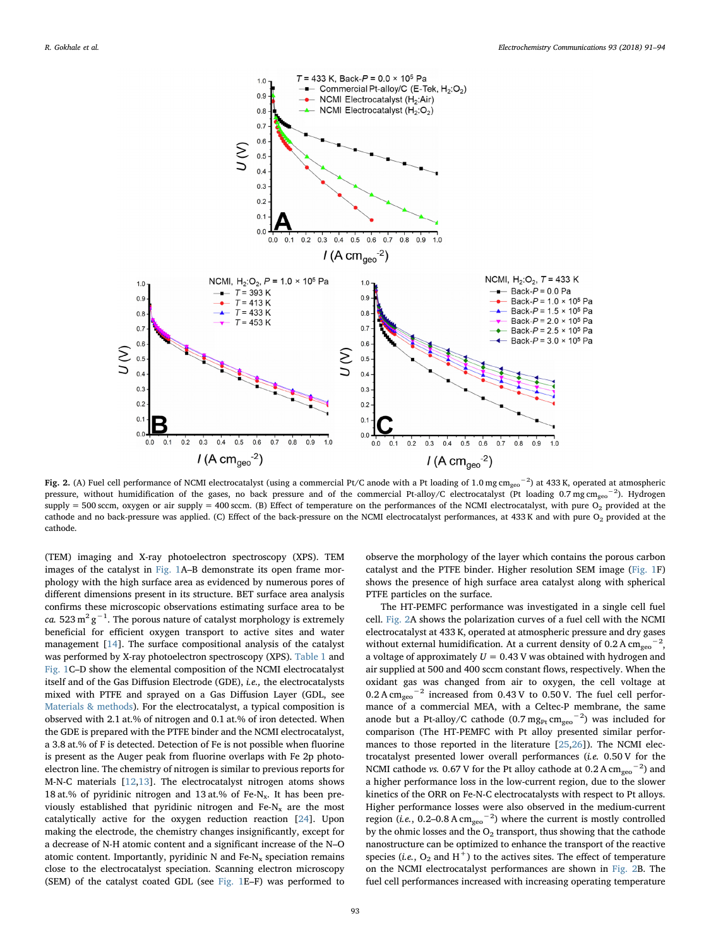<span id="page-2-0"></span>

Fig. 2. (A) Fuel cell performance of NCMI electrocatalyst (using a commercial Pt/C anode with a Pt loading of 1.0 mg cm<sub>geo</sub>−<sup>2</sup>) at 433 K, operated at atmospheric pressure, without humidification of the gases, no back pressure and of the commercial Pt-alloy/C electrocatalyst (Pt loading 0.7 mg cm<sub>geo</sub><sup>-2</sup>). Hydrogen supply = 500 sccm, oxygen or air supply = 400 sccm. (B) Effect of temperature on the performances of the NCMI electrocatalyst, with pure  $O_2$  provided at the cathode and no back-pressure was applied. (C) Effect of the back-pressure on the NCMI electrocatalyst performances, at 433 K and with pure O<sub>2</sub> provided at the cathode.

(TEM) imaging and X-ray photoelectron spectroscopy (XPS). TEM images of the catalyst in [Fig. 1A](#page-1-1)–B demonstrate its open frame morphology with the high surface area as evidenced by numerous pores of different dimensions present in its structure. BET surface area analysis confirms these microscopic observations estimating surface area to be ca. 523 m $^2$  g $^{-1}$ . The porous nature of catalyst morphology is extremely beneficial for efficient oxygen transport to active sites and water management [[14\]](#page-3-12). The surface compositional analysis of the catalyst was performed by X-ray photoelectron spectroscopy (XPS). [Table 1](#page-1-2) and [Fig. 1C](#page-1-1)–D show the elemental composition of the NCMI electrocatalyst itself and of the Gas Diffusion Electrode (GDE), i.e., the electrocatalysts mixed with PTFE and sprayed on a Gas Diffusion Layer (GDL, see [Materials & methods](#page-1-0)). For the electrocatalyst, a typical composition is observed with 2.1 at.% of nitrogen and 0.1 at.% of iron detected. When the GDE is prepared with the PTFE binder and the NCMI electrocatalyst, a 3.8 at.% of F is detected. Detection of Fe is not possible when fluorine is present as the Auger peak from fluorine overlaps with Fe 2p photoelectron line. The chemistry of nitrogen is similar to previous reports for M-N-C materials [[12](#page-3-8)[,13](#page-3-13)]. The electrocatalyst nitrogen atoms shows 18 at.% of pyridinic nitrogen and 13 at.% of Fe-N<sub>x</sub>. It has been previously established that pyridinic nitrogen and  $Fe-N_x$  are the most catalytically active for the oxygen reduction reaction [[24\]](#page-3-14). Upon making the electrode, the chemistry changes insignificantly, except for a decrease of N-H atomic content and a significant increase of the N–O atomic content. Importantly, pyridinic  $N$  and  $Fe-N_x$  speciation remains close to the electrocatalyst speciation. Scanning electron microscopy (SEM) of the catalyst coated GDL (see [Fig. 1](#page-1-1)E–F) was performed to

observe the morphology of the layer which contains the porous carbon catalyst and the PTFE binder. Higher resolution SEM image ([Fig. 1](#page-1-1)F) shows the presence of high surface area catalyst along with spherical PTFE particles on the surface.

The HT-PEMFC performance was investigated in a single cell fuel cell. [Fig. 2A](#page-2-0) shows the polarization curves of a fuel cell with the NCMI electrocatalyst at 433 K, operated at atmospheric pressure and dry gases without external humidification. At a current density of 0.2 A  $\text{cm}_{\text{geo}}$ <sup>-2</sup>, a voltage of approximately  $U = 0.43$  V was obtained with hydrogen and air supplied at 500 and 400 sccm constant flows, respectively. When the oxidant gas was changed from air to oxygen, the cell voltage at  $0.2$  A cm<sub>geo</sub><sup>-2</sup> increased from 0.43 V to 0.50 V. The fuel cell performance of a commercial MEA, with a Celtec-P membrane, the same anode but a Pt-alloy/C cathode (0.7  $mg_{Pt}$  cm<sub>geo</sub><sup>-2</sup>) was included for comparison (The HT-PEMFC with Pt alloy presented similar performances to those reported in the literature [\[25](#page-3-15)[,26](#page-3-16)]). The NCMI electrocatalyst presented lower overall performances (i.e. 0.50 V for the NCMI cathode *vs*. 0.67 V for the Pt alloy cathode at 0.2 A  $\text{cm}_{\text{geo}}$ <sup>-2</sup>) and a higher performance loss in the low-current region, due to the slower kinetics of the ORR on Fe-N-C electrocatalysts with respect to Pt alloys. Higher performance losses were also observed in the medium-current region (*i.e.*, 0.2–0.8 A cm<sub>geo</sub><sup>-2</sup>) where the current is mostly controlled by the ohmic losses and the  $O<sub>2</sub>$  transport, thus showing that the cathode nanostructure can be optimized to enhance the transport of the reactive species (i.e.,  $O_2$  and H<sup>+</sup>) to the actives sites. The effect of temperature on the NCMI electrocatalyst performances are shown in [Fig. 2](#page-2-0)B. The fuel cell performances increased with increasing operating temperature